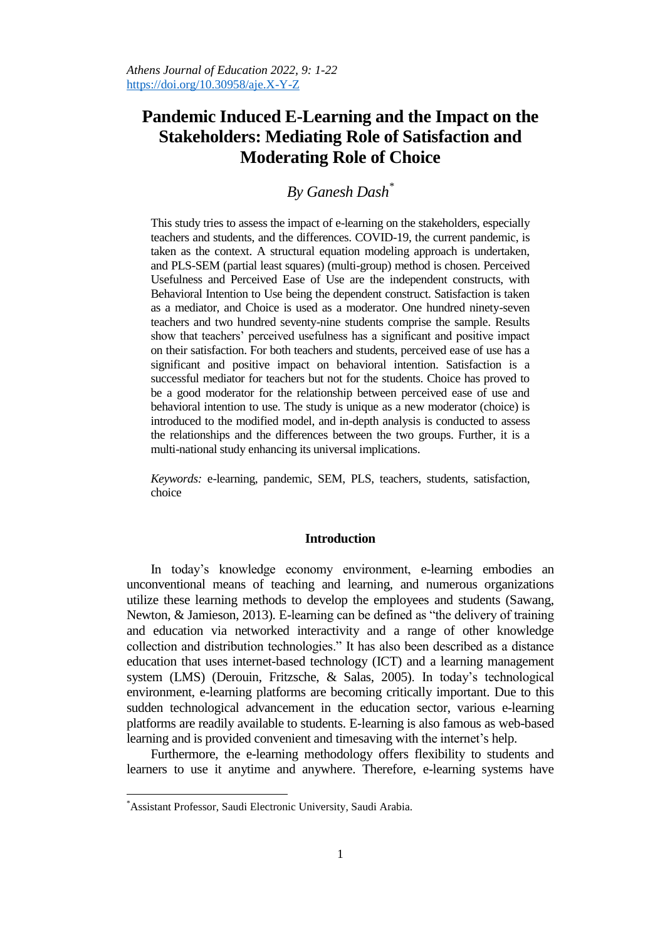# **Pandemic Induced E-Learning and the Impact on the Stakeholders: Mediating Role of Satisfaction and Moderating Role of Choice**

# *By Ganesh Dash\**

This study tries to assess the impact of e-learning on the stakeholders, especially teachers and students, and the differences. COVID-19, the current pandemic, is taken as the context. A structural equation modeling approach is undertaken, and PLS-SEM (partial least squares) (multi-group) method is chosen. Perceived Usefulness and Perceived Ease of Use are the independent constructs, with Behavioral Intention to Use being the dependent construct. Satisfaction is taken as a mediator, and Choice is used as a moderator. One hundred ninety-seven teachers and two hundred seventy-nine students comprise the sample. Results show that teachers" perceived usefulness has a significant and positive impact on their satisfaction. For both teachers and students, perceived ease of use has a significant and positive impact on behavioral intention. Satisfaction is a successful mediator for teachers but not for the students. Choice has proved to be a good moderator for the relationship between perceived ease of use and behavioral intention to use. The study is unique as a new moderator (choice) is introduced to the modified model, and in-depth analysis is conducted to assess the relationships and the differences between the two groups. Further, it is a multi-national study enhancing its universal implications.

*Keywords:* e-learning, pandemic, SEM, PLS, teachers, students, satisfaction, choice

## **Introduction**

In today"s knowledge economy environment, e-learning embodies an unconventional means of teaching and learning, and numerous organizations utilize these learning methods to develop the employees and students (Sawang, Newton, & Jamieson, 2013). E-learning can be defined as "the delivery of training and education via networked interactivity and a range of other knowledge collection and distribution technologies." It has also been described as a distance education that uses internet-based technology (ICT) and a learning management system (LMS) (Derouin, Fritzsche, & Salas, 2005). In today"s technological environment, e-learning platforms are becoming critically important. Due to this sudden technological advancement in the education sector, various e-learning platforms are readily available to students. E-learning is also famous as web-based learning and is provided convenient and timesaving with the internet's help.

Furthermore, the e-learning methodology offers flexibility to students and learners to use it anytime and anywhere. Therefore, e-learning systems have

 $\overline{a}$ 

<sup>\*</sup>Assistant Professor, Saudi Electronic University, Saudi Arabia.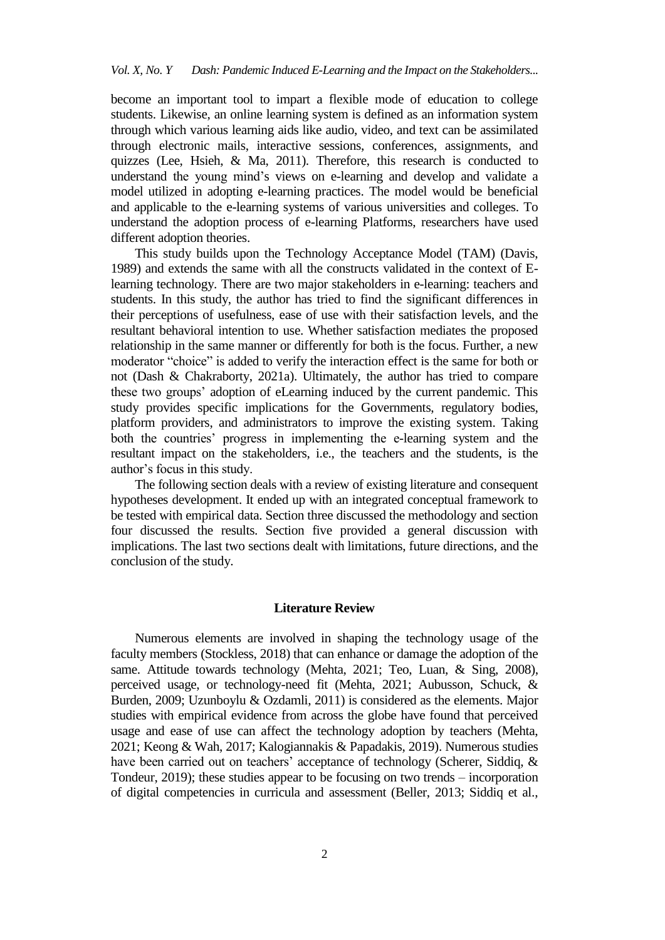become an important tool to impart a flexible mode of education to college students. Likewise, an online learning system is defined as an information system through which various learning aids like audio, video, and text can be assimilated through electronic mails, interactive sessions, conferences, assignments, and quizzes (Lee, Hsieh, & Ma, 2011). Therefore, this research is conducted to understand the young mind"s views on e-learning and develop and validate a model utilized in adopting e-learning practices. The model would be beneficial and applicable to the e-learning systems of various universities and colleges. To understand the adoption process of e-learning Platforms, researchers have used different adoption theories.

This study builds upon the Technology Acceptance Model (TAM) (Davis, 1989) and extends the same with all the constructs validated in the context of Elearning technology. There are two major stakeholders in e-learning: teachers and students. In this study, the author has tried to find the significant differences in their perceptions of usefulness, ease of use with their satisfaction levels, and the resultant behavioral intention to use. Whether satisfaction mediates the proposed relationship in the same manner or differently for both is the focus. Further, a new moderator "choice" is added to verify the interaction effect is the same for both or not (Dash & Chakraborty, 2021a). Ultimately, the author has tried to compare these two groups" adoption of eLearning induced by the current pandemic. This study provides specific implications for the Governments, regulatory bodies, platform providers, and administrators to improve the existing system. Taking both the countries' progress in implementing the e-learning system and the resultant impact on the stakeholders, i.e., the teachers and the students, is the author"s focus in this study.

The following section deals with a review of existing literature and consequent hypotheses development. It ended up with an integrated conceptual framework to be tested with empirical data. Section three discussed the methodology and section four discussed the results. Section five provided a general discussion with implications. The last two sections dealt with limitations, future directions, and the conclusion of the study.

## **Literature Review**

Numerous elements are involved in shaping the technology usage of the faculty members (Stockless, 2018) that can enhance or damage the adoption of the same. Attitude towards technology (Mehta, 2021; Teo, Luan, & Sing, 2008), perceived usage, or technology-need fit (Mehta, 2021; Aubusson, Schuck, & Burden, 2009; Uzunboylu & Ozdamli, 2011) is considered as the elements. Major studies with empirical evidence from across the globe have found that perceived usage and ease of use can affect the technology adoption by teachers (Mehta, 2021; Keong & Wah, 2017; Kalogiannakis & Papadakis, 2019). Numerous studies have been carried out on teachers' acceptance of technology (Scherer, Siddiq, & Tondeur, 2019); these studies appear to be focusing on two trends – incorporation of digital competencies in curricula and assessment (Beller, 2013; Siddiq et al.,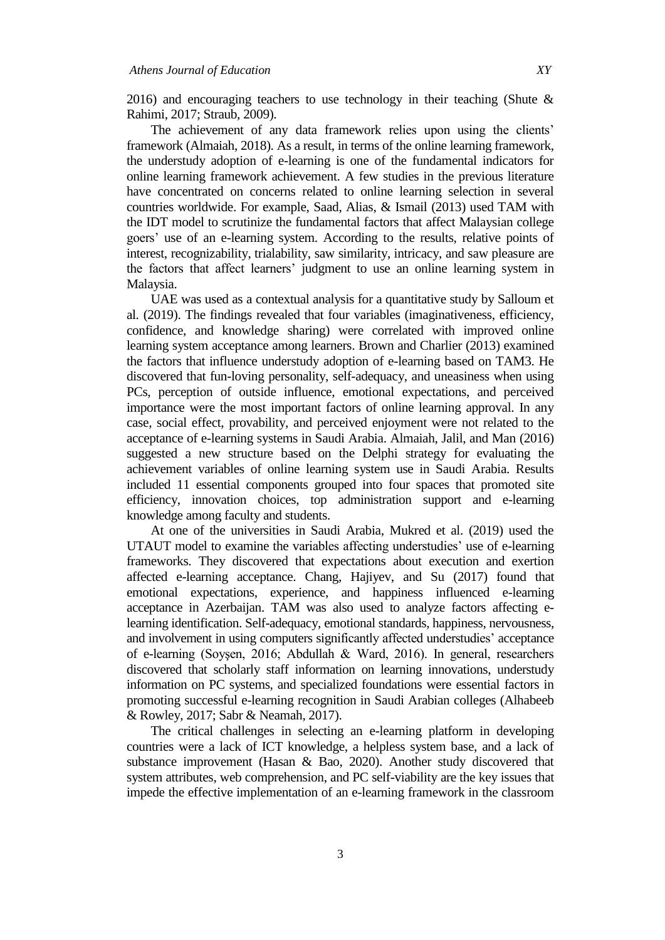2016) and encouraging teachers to use technology in their teaching (Shute & Rahimi, 2017; Straub, 2009).

The achievement of any data framework relies upon using the clients' framework (Almaiah, 2018). As a result, in terms of the online learning framework, the understudy adoption of e-learning is one of the fundamental indicators for online learning framework achievement. A few studies in the previous literature have concentrated on concerns related to online learning selection in several countries worldwide. For example, Saad, Alias, & Ismail (2013) used TAM with the IDT model to scrutinize the fundamental factors that affect Malaysian college goers" use of an e-learning system. According to the results, relative points of interest, recognizability, trialability, saw similarity, intricacy, and saw pleasure are the factors that affect learners" judgment to use an online learning system in Malaysia.

UAE was used as a contextual analysis for a quantitative study by Salloum et al. (2019). The findings revealed that four variables (imaginativeness, efficiency, confidence, and knowledge sharing) were correlated with improved online learning system acceptance among learners. Brown and Charlier (2013) examined the factors that influence understudy adoption of e-learning based on TAM3. He discovered that fun-loving personality, self-adequacy, and uneasiness when using PCs, perception of outside influence, emotional expectations, and perceived importance were the most important factors of online learning approval. In any case, social effect, provability, and perceived enjoyment were not related to the acceptance of e-learning systems in Saudi Arabia. Almaiah, Jalil, and Man (2016) suggested a new structure based on the Delphi strategy for evaluating the achievement variables of online learning system use in Saudi Arabia. Results included 11 essential components grouped into four spaces that promoted site efficiency, innovation choices, top administration support and e-learning knowledge among faculty and students.

At one of the universities in Saudi Arabia, Mukred et al. (2019) used the UTAUT model to examine the variables affecting understudies' use of e-learning frameworks. They discovered that expectations about execution and exertion affected e-learning acceptance. Chang, Hajiyev, and Su (2017) found that emotional expectations, experience, and happiness influenced e-learning acceptance in Azerbaijan. TAM was also used to analyze factors affecting elearning identification. Self-adequacy, emotional standards, happiness, nervousness, and involvement in using computers significantly affected understudies' acceptance of e-learning (Soyşen, 2016; Abdullah & Ward, 2016). In general, researchers discovered that scholarly staff information on learning innovations, understudy information on PC systems, and specialized foundations were essential factors in promoting successful e-learning recognition in Saudi Arabian colleges (Alhabeeb & Rowley, 2017; Sabr & Neamah, 2017).

The critical challenges in selecting an e-learning platform in developing countries were a lack of ICT knowledge, a helpless system base, and a lack of substance improvement (Hasan & Bao, 2020). Another study discovered that system attributes, web comprehension, and PC self-viability are the key issues that impede the effective implementation of an e-learning framework in the classroom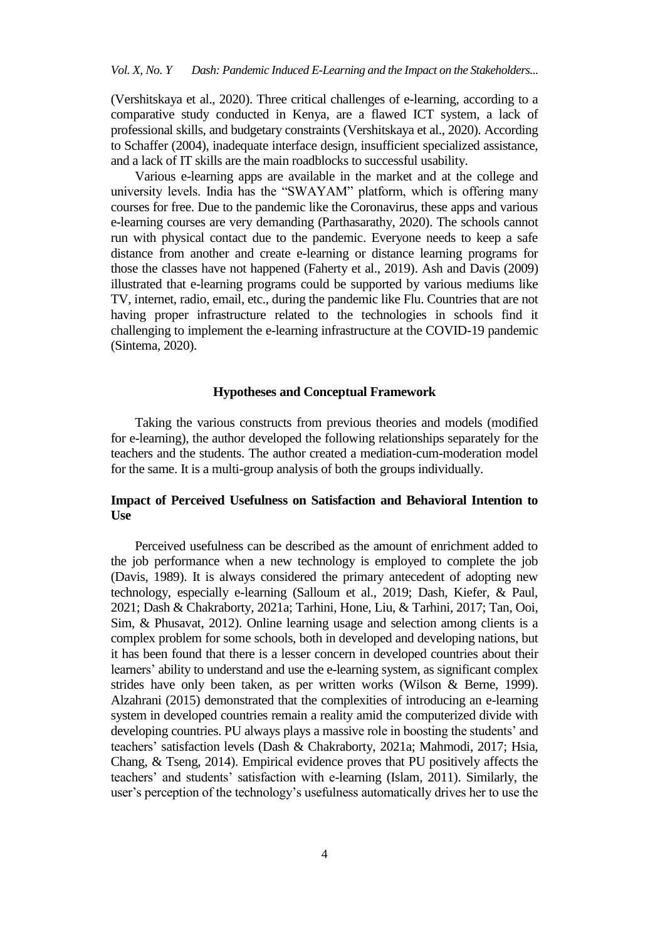(Vershitskaya et al., 2020). Three critical challenges of e-learning, according to a comparative study conducted in Kenya, are a flawed ICT system, a lack of professional skills, and budgetary constraints (Vershitskaya et al., 2020). According to Schaffer (2004), inadequate interface design, insufficient specialized assistance, and a lack of IT skills are the main roadblocks to successful usability.

Various e-learning apps are available in the market and at the college and university levels. India has the "SWAYAM" platform, which is offering many courses for free. Due to the pandemic like the Coronavirus, these apps and various e-learning courses are very demanding (Parthasarathy, 2020). The schools cannot run with physical contact due to the pandemic. Everyone needs to keep a safe distance from another and create e-learning or distance learning programs for those the classes have not happened (Faherty et al., 2019). Ash and Davis (2009) illustrated that e-learning programs could be supported by various mediums like TV, internet, radio, email, etc., during the pandemic like Flu. Countries that are not having proper infrastructure related to the technologies in schools find it challenging to implement the e-learning infrastructure at the COVID-19 pandemic (Sintema, 2020).

## **Hypotheses and Conceptual Framework**

Taking the various constructs from previous theories and models (modified for e-learning), the author developed the following relationships separately for the teachers and the students. The author created a mediation-cum-moderation model for the same. It is a multi-group analysis of both the groups individually.

# **Impact of Perceived Usefulness on Satisfaction and Behavioral Intention to Use**

Perceived usefulness can be described as the amount of enrichment added to the job performance when a new technology is employed to complete the job (Davis, 1989). It is always considered the primary antecedent of adopting new technology, especially e-learning (Salloum et al., 2019; Dash, Kiefer, & Paul, 2021; Dash & Chakraborty, 2021a; Tarhini, Hone, Liu, & Tarhini, 2017; Tan, Ooi, Sim, & Phusavat, 2012). Online learning usage and selection among clients is a complex problem for some schools, both in developed and developing nations, but it has been found that there is a lesser concern in developed countries about their learners' ability to understand and use the e-learning system, as significant complex strides have only been taken, as per written works (Wilson & Berne, 1999). Alzahrani (2015) demonstrated that the complexities of introducing an e-learning system in developed countries remain a reality amid the computerized divide with developing countries. PU always plays a massive role in boosting the students' and teachers" satisfaction levels (Dash & Chakraborty, 2021a; Mahmodi, 2017; Hsia, Chang, & Tseng, 2014). Empirical evidence proves that PU positively affects the teachers" and students" satisfaction with e-learning (Islam, 2011). Similarly, the user"s perception of the technology"s usefulness automatically drives her to use the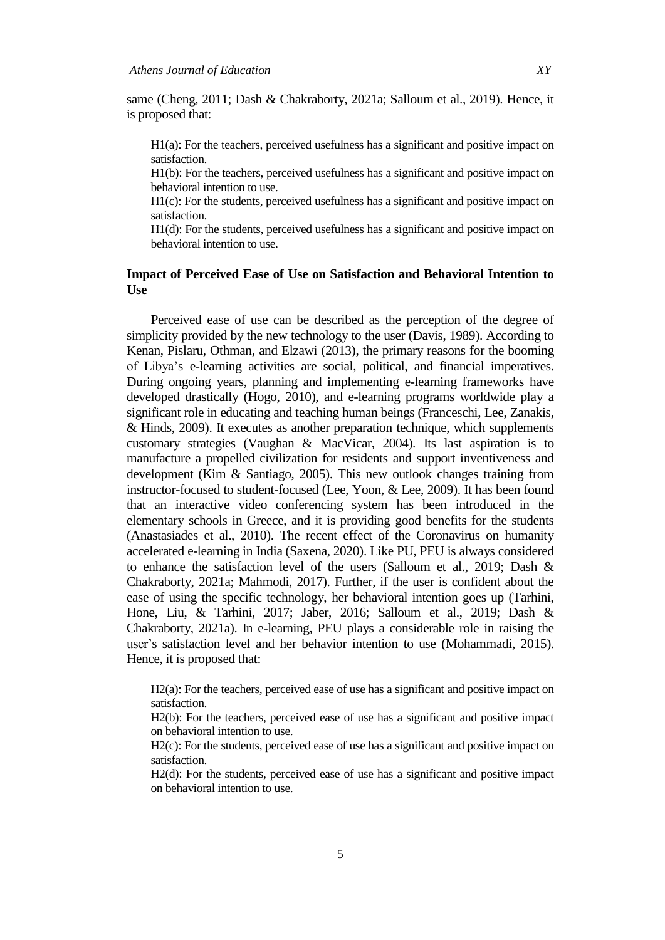same (Cheng, 2011; Dash & Chakraborty, 2021a; Salloum et al., 2019). Hence, it is proposed that:

H1(a): For the teachers, perceived usefulness has a significant and positive impact on satisfaction.

H1(b): For the teachers, perceived usefulness has a significant and positive impact on behavioral intention to use.

H1(c): For the students, perceived usefulness has a significant and positive impact on satisfaction.

H1(d): For the students, perceived usefulness has a significant and positive impact on behavioral intention to use.

## **Impact of Perceived Ease of Use on Satisfaction and Behavioral Intention to Use**

Perceived ease of use can be described as the perception of the degree of simplicity provided by the new technology to the user (Davis, 1989). According to Kenan, Pislaru, Othman, and Elzawi (2013), the primary reasons for the booming of Libya"s e-learning activities are social, political, and financial imperatives. During ongoing years, planning and implementing e-learning frameworks have developed drastically (Hogo, 2010), and e-learning programs worldwide play a significant role in educating and teaching human beings (Franceschi, Lee, Zanakis, & Hinds, 2009). It executes as another preparation technique, which supplements customary strategies (Vaughan & MacVicar, 2004). Its last aspiration is to manufacture a propelled civilization for residents and support inventiveness and development (Kim & Santiago, 2005). This new outlook changes training from instructor-focused to student-focused (Lee, Yoon, & Lee, 2009). It has been found that an interactive video conferencing system has been introduced in the elementary schools in Greece, and it is providing good benefits for the students (Anastasiades et al., 2010). The recent effect of the Coronavirus on humanity accelerated e-learning in India (Saxena, 2020). Like PU, PEU is always considered to enhance the satisfaction level of the users (Salloum et al., 2019; Dash & Chakraborty, 2021a; Mahmodi, 2017). Further, if the user is confident about the ease of using the specific technology, her behavioral intention goes up (Tarhini, Hone, Liu, & Tarhini, 2017; Jaber, 2016; Salloum et al., 2019; Dash & Chakraborty, 2021a). In e-learning, PEU plays a considerable role in raising the user's satisfaction level and her behavior intention to use (Mohammadi, 2015). Hence, it is proposed that:

H<sub>2</sub>(a): For the teachers, perceived ease of use has a significant and positive impact on satisfaction.

H2(b): For the teachers, perceived ease of use has a significant and positive impact on behavioral intention to use.

H<sub>2</sub>(c): For the students, perceived ease of use has a significant and positive impact on satisfaction.

H2(d): For the students, perceived ease of use has a significant and positive impact on behavioral intention to use.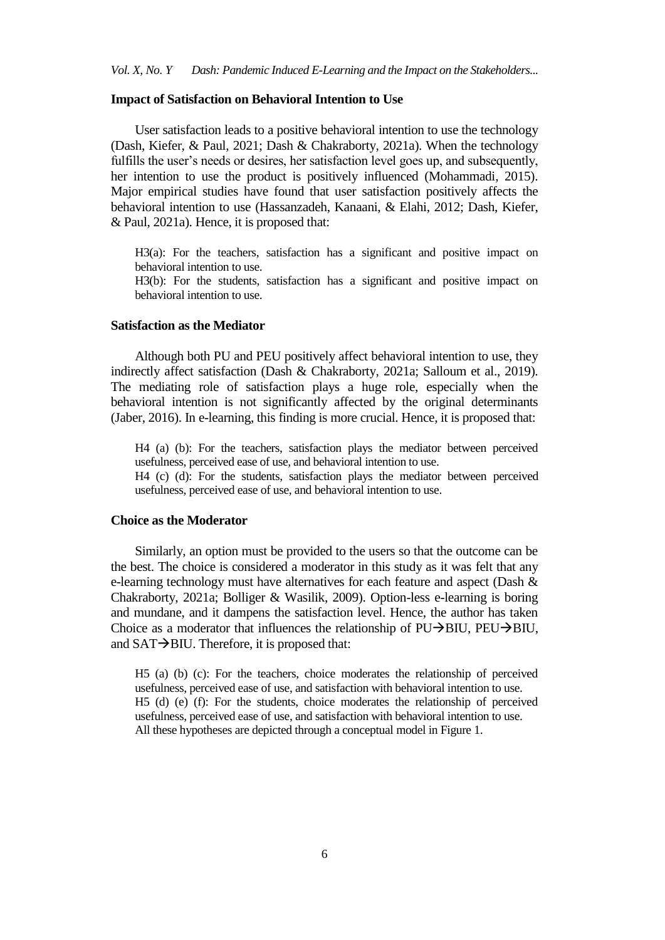#### **Impact of Satisfaction on Behavioral Intention to Use**

User satisfaction leads to a positive behavioral intention to use the technology (Dash, Kiefer, & Paul, 2021; Dash & Chakraborty, 2021a). When the technology fulfills the user's needs or desires, her satisfaction level goes up, and subsequently, her intention to use the product is positively influenced (Mohammadi, 2015). Major empirical studies have found that user satisfaction positively affects the behavioral intention to use (Hassanzadeh, Kanaani, & Elahi, 2012; Dash, Kiefer, & Paul, 2021a). Hence, it is proposed that:

H3(a): For the teachers, satisfaction has a significant and positive impact on behavioral intention to use.

H3(b): For the students, satisfaction has a significant and positive impact on behavioral intention to use.

## **Satisfaction as the Mediator**

Although both PU and PEU positively affect behavioral intention to use, they indirectly affect satisfaction (Dash & Chakraborty, 2021a; Salloum et al., 2019). The mediating role of satisfaction plays a huge role, especially when the behavioral intention is not significantly affected by the original determinants (Jaber, 2016). In e-learning, this finding is more crucial. Hence, it is proposed that:

H4 (a) (b): For the teachers, satisfaction plays the mediator between perceived usefulness, perceived ease of use, and behavioral intention to use.

H4 (c) (d): For the students, satisfaction plays the mediator between perceived usefulness, perceived ease of use, and behavioral intention to use.

## **Choice as the Moderator**

Similarly, an option must be provided to the users so that the outcome can be the best. The choice is considered a moderator in this study as it was felt that any e-learning technology must have alternatives for each feature and aspect (Dash & Chakraborty, 2021a; Bolliger & Wasilik, 2009). Option-less e-learning is boring and mundane, and it dampens the satisfaction level. Hence, the author has taken Choice as a moderator that influences the relationship of  $PU \rightarrow BUU$ ,  $PEU \rightarrow BIU$ , and  $SAT \rightarrow BIU$ . Therefore, it is proposed that:

H5 (a) (b) (c): For the teachers, choice moderates the relationship of perceived usefulness, perceived ease of use, and satisfaction with behavioral intention to use. H5 (d) (e) (f): For the students, choice moderates the relationship of perceived usefulness, perceived ease of use, and satisfaction with behavioral intention to use. All these hypotheses are depicted through a conceptual model in Figure 1.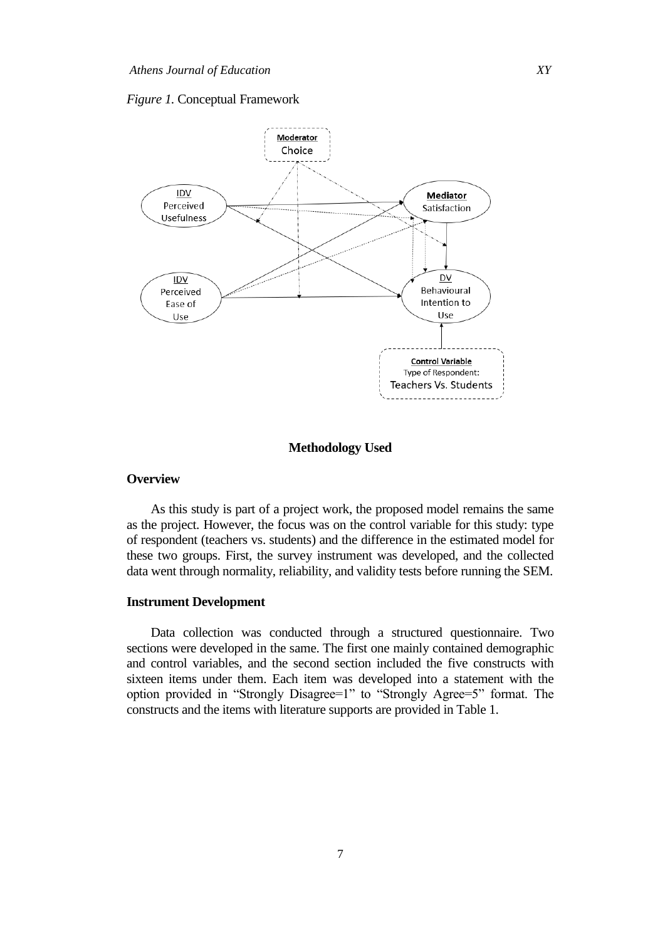#### *Figure 1.* Conceptual Framework



## **Methodology Used**

## **Overview**

As this study is part of a project work, the proposed model remains the same as the project. However, the focus was on the control variable for this study: type of respondent (teachers vs. students) and the difference in the estimated model for these two groups. First, the survey instrument was developed, and the collected data went through normality, reliability, and validity tests before running the SEM.

## **Instrument Development**

Data collection was conducted through a structured questionnaire. Two sections were developed in the same. The first one mainly contained demographic and control variables, and the second section included the five constructs with sixteen items under them. Each item was developed into a statement with the option provided in "Strongly Disagree=1" to "Strongly Agree=5" format. The constructs and the items with literature supports are provided in Table 1.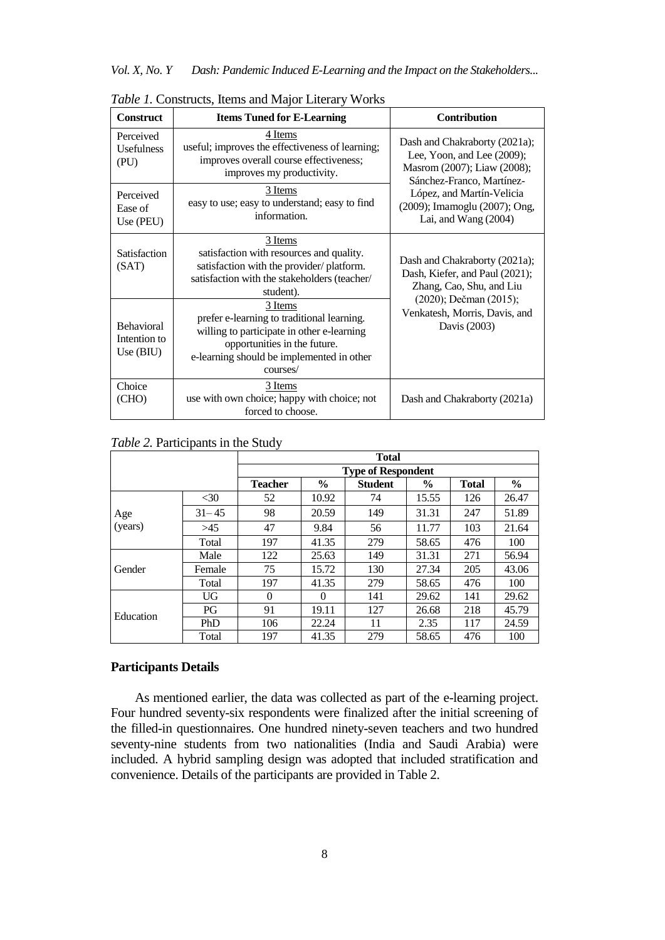| <b>Construct</b>                                 | <b>Items Tuned for E-Learning</b>                                                                                                                                                            | <b>Contribution</b>                                                                                                     |
|--------------------------------------------------|----------------------------------------------------------------------------------------------------------------------------------------------------------------------------------------------|-------------------------------------------------------------------------------------------------------------------------|
| Perceived<br><b>Usefulness</b><br>(PU)           | 4 Items<br>useful; improves the effectiveness of learning;<br>improves overall course effectiveness;<br>improves my productivity.                                                            | Dash and Chakraborty (2021a);<br>Lee, Yoon, and Lee (2009);<br>Masrom (2007); Liaw (2008);<br>Sánchez-Franco, Martínez- |
| Perceived<br>Ease of<br>Use (PEU)                | 3 Items<br>easy to use; easy to understand; easy to find<br>information.                                                                                                                     | López, and Martín-Velicia<br>(2009); Imamoglu (2007); Ong,<br>Lai, and Wang (2004)                                      |
| Satisfaction<br>(SAT)                            | 3 Items<br>satisfaction with resources and quality.<br>satisfaction with the provider/platform.<br>satisfaction with the stakeholders (teacher/<br>student).                                 | Dash and Chakraborty (2021a);<br>Dash, Kiefer, and Paul (2021);<br>Zhang, Cao, Shu, and Liu                             |
| <b>Behavioral</b><br>Intention to<br>Use $(BIU)$ | 3 Items<br>prefer e-learning to traditional learning.<br>willing to participate in other e-learning<br>opportunities in the future.<br>e-learning should be implemented in other<br>courses/ | (2020); Dečman (2015);<br>Venkatesh, Morris, Davis, and<br>Davis (2003)                                                 |
| Choice<br>(CHO)                                  | 3 Items<br>use with own choice; happy with choice; not<br>forced to choose.                                                                                                                  | Dash and Chakraborty (2021a)                                                                                            |

*Table 1.* Constructs, Items and Major Literary Works

# *Table 2.* Participants in the Study

|           |           | <b>Total</b>   |                                                                          |     |       |     |       |  |  |  |
|-----------|-----------|----------------|--------------------------------------------------------------------------|-----|-------|-----|-------|--|--|--|
|           |           |                | <b>Type of Respondent</b>                                                |     |       |     |       |  |  |  |
|           |           | <b>Teacher</b> | $\frac{6}{9}$<br>$\frac{6}{9}$<br><b>Student</b><br>$\%$<br><b>Total</b> |     |       |     |       |  |  |  |
|           | $<$ 30    | 52             | 10.92                                                                    | 74  | 15.55 | 126 | 26.47 |  |  |  |
| Age       | $31 - 45$ | 98             | 20.59                                                                    | 149 | 31.31 | 247 | 51.89 |  |  |  |
| (years)   | >45       | 47             | 9.84                                                                     | 56  | 11.77 | 103 | 21.64 |  |  |  |
|           | Total     | 197            | 41.35                                                                    | 279 | 58.65 | 476 | 100   |  |  |  |
|           | Male      | 122            | 25.63                                                                    | 149 | 31.31 | 271 | 56.94 |  |  |  |
| Gender    | Female    | 75             | 15.72                                                                    | 130 | 27.34 | 205 | 43.06 |  |  |  |
|           | Total     | 197            | 41.35                                                                    | 279 | 58.65 | 476 | 100   |  |  |  |
|           | UG        | $\Omega$       | $\Omega$                                                                 | 141 | 29.62 | 141 | 29.62 |  |  |  |
| Education | PG        | 91             | 19.11                                                                    | 127 | 26.68 | 218 | 45.79 |  |  |  |
|           | PhD       | 106            | 22.24                                                                    | 11  | 2.35  | 117 | 24.59 |  |  |  |
|           | Total     | 197            | 41.35                                                                    | 279 | 58.65 | 476 | 100   |  |  |  |

# **Participants Details**

As mentioned earlier, the data was collected as part of the e-learning project. Four hundred seventy-six respondents were finalized after the initial screening of the filled-in questionnaires. One hundred ninety-seven teachers and two hundred seventy-nine students from two nationalities (India and Saudi Arabia) were included. A hybrid sampling design was adopted that included stratification and convenience. Details of the participants are provided in Table 2.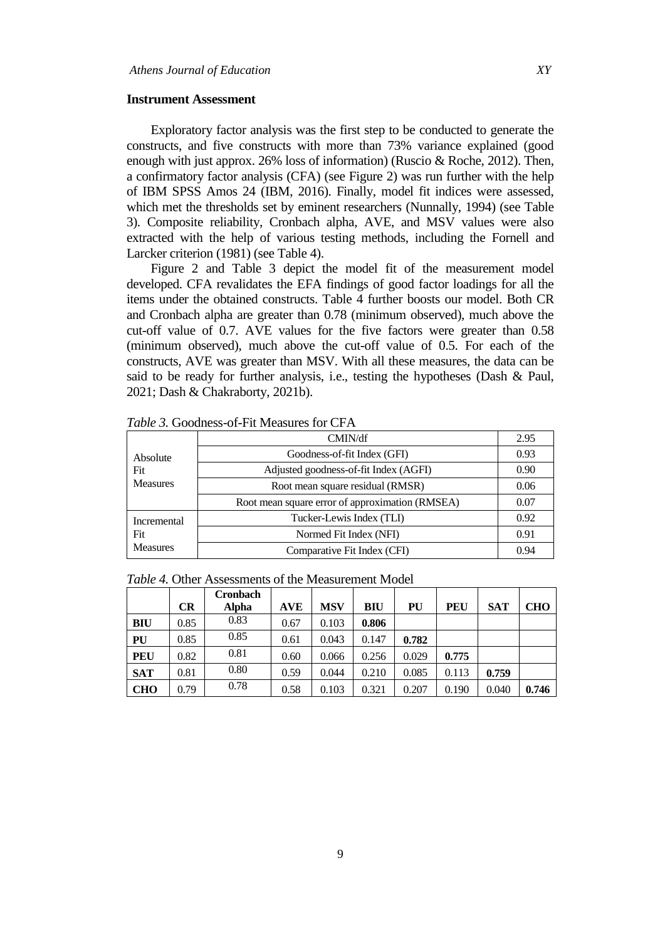#### **Instrument Assessment**

Exploratory factor analysis was the first step to be conducted to generate the constructs, and five constructs with more than 73% variance explained (good enough with just approx. 26% loss of information) (Ruscio & Roche, 2012). Then, a confirmatory factor analysis (CFA) (see Figure 2) was run further with the help of IBM SPSS Amos 24 (IBM, 2016). Finally, model fit indices were assessed, which met the thresholds set by eminent researchers (Nunnally, 1994) (see Table 3). Composite reliability, Cronbach alpha, AVE, and MSV values were also extracted with the help of various testing methods, including the Fornell and Larcker criterion (1981) (see Table 4).

Figure 2 and Table 3 depict the model fit of the measurement model developed. CFA revalidates the EFA findings of good factor loadings for all the items under the obtained constructs. Table 4 further boosts our model. Both CR and Cronbach alpha are greater than 0.78 (minimum observed), much above the cut-off value of 0.7. AVE values for the five factors were greater than 0.58 (minimum observed), much above the cut-off value of 0.5. For each of the constructs, AVE was greater than MSV. With all these measures, the data can be said to be ready for further analysis, i.e., testing the hypotheses (Dash & Paul, 2021; Dash & Chakraborty, 2021b).

| Absolute        | CMIN/df                                         | 2.95 |
|-----------------|-------------------------------------------------|------|
|                 | Goodness-of-fit Index (GFI)                     | 0.93 |
| Fit             | Adjusted goodness-of-fit Index (AGFI)           | 0.90 |
| <b>Measures</b> | Root mean square residual (RMSR)                |      |
|                 | Root mean square error of approximation (RMSEA) | 0.07 |
| Incremental     | Tucker-Lewis Index (TLI)                        | 0.92 |
| Fit             | Normed Fit Index (NFI)                          | 0.91 |
| <b>Measures</b> | Comparative Fit Index (CFI)                     | 0.94 |

*Table 3.* Goodness-of-Fit Measures for CFA

|  | <i>Table 4.</i> Other Assessments of the Measurement Model |  |  |
|--|------------------------------------------------------------|--|--|
|  | $C$ <sub>ra</sub> hach                                     |  |  |

|            | <b>CR</b> | <b>Cronbach</b><br><b>Alpha</b> | AVE  | MSV   | BIU   | PU    | PEU   | <b>SAT</b> | <b>CHO</b> |
|------------|-----------|---------------------------------|------|-------|-------|-------|-------|------------|------------|
| BIU        | 0.85      | 0.83                            | 0.67 | 0.103 | 0.806 |       |       |            |            |
| PU         | 0.85      | 0.85                            | 0.61 | 0.043 | 0.147 | 0.782 |       |            |            |
| <b>PEU</b> | 0.82      | 0.81                            | 0.60 | 0.066 | 0.256 | 0.029 | 0.775 |            |            |
| <b>SAT</b> | 0.81      | 0.80                            | 0.59 | 0.044 | 0.210 | 0.085 | 0.113 | 0.759      |            |
| <b>CHO</b> | 0.79      | 0.78                            | 0.58 | 0.103 | 0.321 | 0.207 | 0.190 | 0.040      | 0.746      |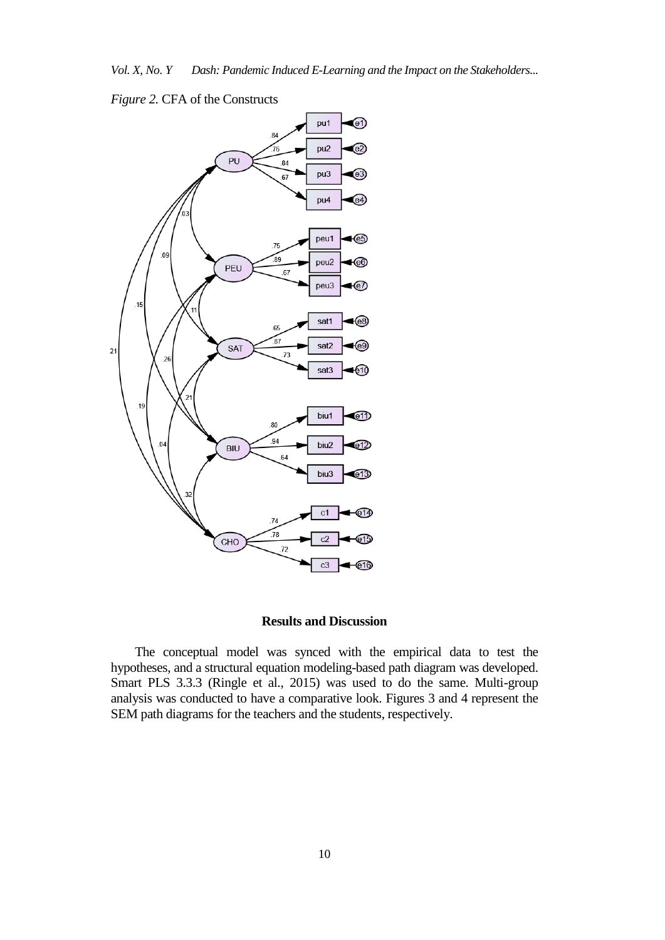



## **Results and Discussion**

The conceptual model was synced with the empirical data to test the hypotheses, and a structural equation modeling-based path diagram was developed. Smart PLS 3.3.3 (Ringle et al., 2015) was used to do the same. Multi-group analysis was conducted to have a comparative look. Figures 3 and 4 represent the SEM path diagrams for the teachers and the students, respectively.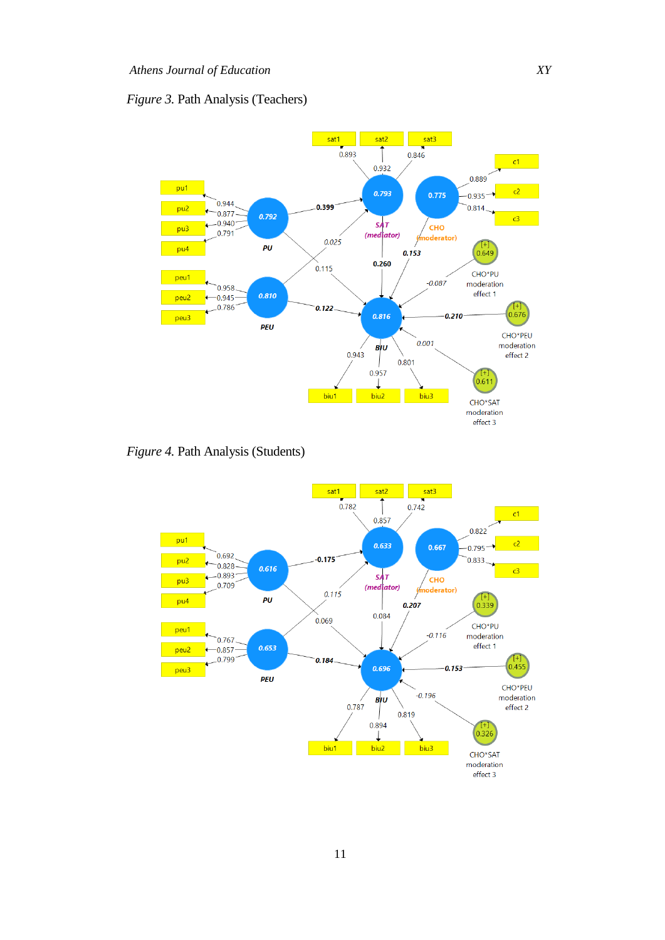# *Figure 3.* Path Analysis (Teachers)



*Figure 4.* Path Analysis (Students)

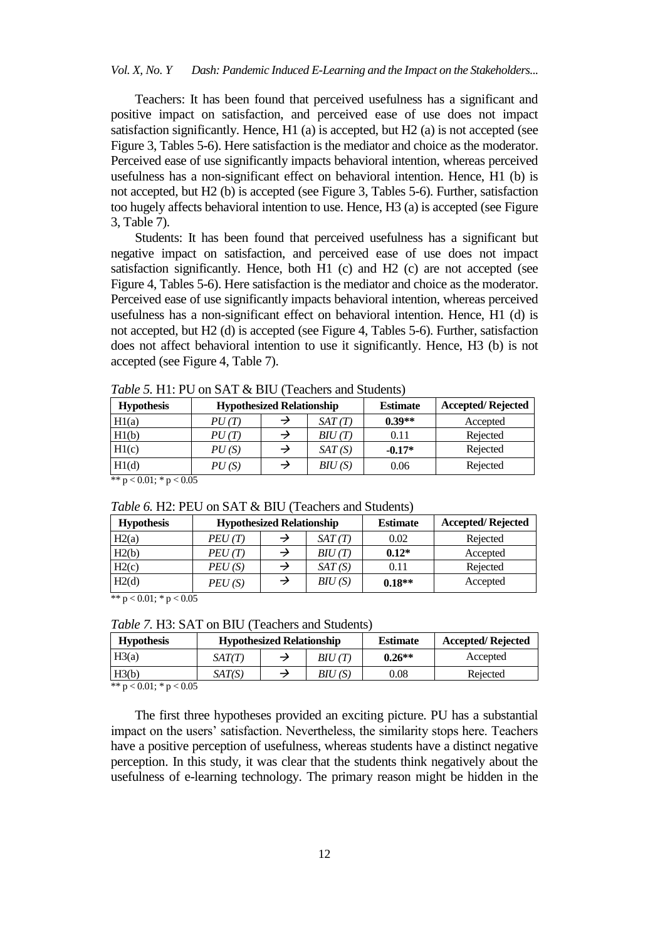## *Vol. X, No. Y Dash: Pandemic Induced E-Learning and the Impact on the Stakeholders...*

Teachers: It has been found that perceived usefulness has a significant and positive impact on satisfaction, and perceived ease of use does not impact satisfaction significantly. Hence, H1 (a) is accepted, but H2 (a) is not accepted (see Figure 3, Tables 5-6). Here satisfaction is the mediator and choice as the moderator. Perceived ease of use significantly impacts behavioral intention, whereas perceived usefulness has a non-significant effect on behavioral intention. Hence, H1 (b) is not accepted, but H2 (b) is accepted (see Figure 3, Tables 5-6). Further, satisfaction too hugely affects behavioral intention to use. Hence, H3 (a) is accepted (see Figure 3, Table 7).

Students: It has been found that perceived usefulness has a significant but negative impact on satisfaction, and perceived ease of use does not impact satisfaction significantly. Hence, both H1 (c) and H2 (c) are not accepted (see Figure 4, Tables 5-6). Here satisfaction is the mediator and choice as the moderator. Perceived ease of use significantly impacts behavioral intention, whereas perceived usefulness has a non-significant effect on behavioral intention. Hence, H1 (d) is not accepted, but H2 (d) is accepted (see Figure 4, Tables 5-6). Further, satisfaction does not affect behavioral intention to use it significantly. Hence, H3 (b) is not accepted (see Figure 4, Table 7).

| <b>Hypothesis</b> | <b>Hypothesized Relationship</b> |  |                     | <b>Estimate</b> | <b>Accepted/Rejected</b> |
|-------------------|----------------------------------|--|---------------------|-----------------|--------------------------|
| H1(a)             | PU(T)                            |  | SAT(T)              | $0.39**$        | Accepted                 |
| H1(b)             | PU(T)                            |  | B <sub>IU</sub> (T) | 0.11            | Rejected                 |
| H1(c)             | PU(S)                            |  | SAT(S)              | $-0.17*$        | Rejected                 |
| H1(d)             | PU(S)                            |  | B <sub>IU</sub> (S) | 0.06            | Rejected                 |

*Table 5.* H1: PU on SAT & BIU (Teachers and Students)

\*\*  $p < 0.01$ ; \*  $p < 0.05$ 

| <b>Hypothesis</b> | <b>Hypothesized Relationship</b> |   |                     | <b>Estimate</b> | <b>Accepted/Rejected</b> |
|-------------------|----------------------------------|---|---------------------|-----------------|--------------------------|
| H2(a)             | PEU(T)                           |   | SAT(T)              | 0.02            | Rejected                 |
| H2(b)             | PEU(T)                           |   | $BIU$ (T)           | $0.12*$         | Accepted                 |
| H2(c)             | PEU(S)                           |   | SAT(S)              | 0.11            | Rejected                 |
| H2(d)             | PEU(S)                           | → | B <sub>IU</sub> (S) | $0.18**$        | Accepted                 |

*Table 6.* H2: PEU on SAT & BIU (Teachers and Students)

\*\*  $p < 0.01$ ; \*  $p < 0.05$ 

*Table 7.* H3: SAT on BIU (Teachers and Students)

| <b>Hypothesis</b> | <b>Hypothesized Relationship</b> |  | <b>Estimate</b>     | <b>Accepted/Rejected</b> |          |
|-------------------|----------------------------------|--|---------------------|--------------------------|----------|
| H3(a)             | SAT(T)                           |  | B <sup>I</sup> U(T) | $0.26**$                 | Accepted |
| H3(b)             | SAT(S)                           |  | BIU (S)             | 0.08                     | Rejected |

\*\*  $p < 0.01$ ; \*  $p < 0.05$ 

The first three hypotheses provided an exciting picture. PU has a substantial impact on the users" satisfaction. Nevertheless, the similarity stops here. Teachers have a positive perception of usefulness, whereas students have a distinct negative perception. In this study, it was clear that the students think negatively about the usefulness of e-learning technology. The primary reason might be hidden in the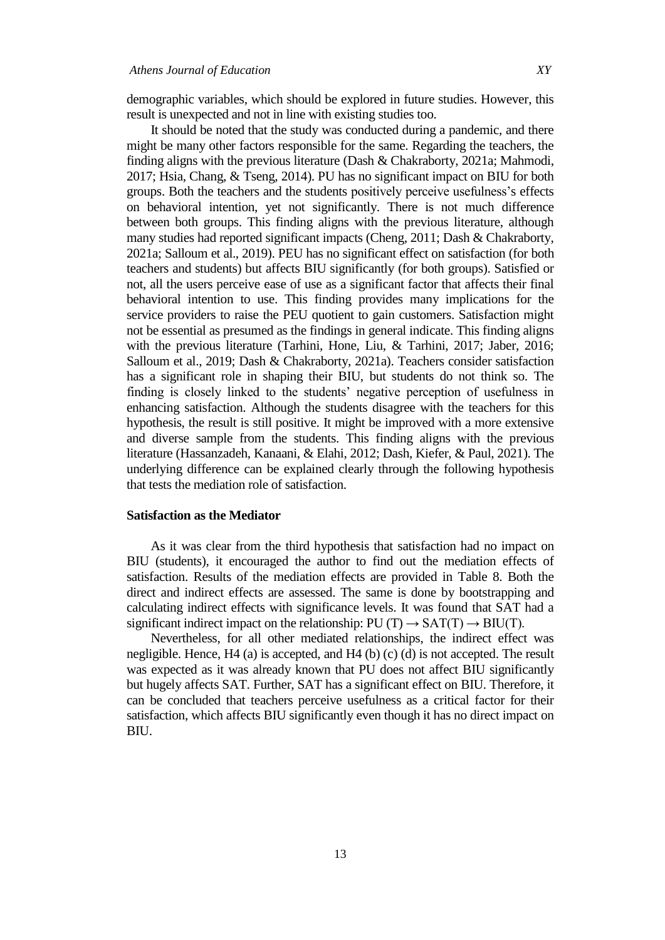demographic variables, which should be explored in future studies. However, this result is unexpected and not in line with existing studies too.

It should be noted that the study was conducted during a pandemic, and there might be many other factors responsible for the same. Regarding the teachers, the finding aligns with the previous literature (Dash & Chakraborty, 2021a; Mahmodi, 2017; Hsia, Chang, & Tseng, 2014). PU has no significant impact on BIU for both groups. Both the teachers and the students positively perceive usefulness"s effects on behavioral intention, yet not significantly. There is not much difference between both groups. This finding aligns with the previous literature, although many studies had reported significant impacts (Cheng, 2011; Dash & Chakraborty, 2021a; Salloum et al., 2019). PEU has no significant effect on satisfaction (for both teachers and students) but affects BIU significantly (for both groups). Satisfied or not, all the users perceive ease of use as a significant factor that affects their final behavioral intention to use. This finding provides many implications for the service providers to raise the PEU quotient to gain customers. Satisfaction might not be essential as presumed as the findings in general indicate. This finding aligns with the previous literature (Tarhini, Hone, Liu, & Tarhini, 2017; Jaber, 2016; Salloum et al., 2019; Dash & Chakraborty, 2021a). Teachers consider satisfaction has a significant role in shaping their BIU, but students do not think so. The finding is closely linked to the students' negative perception of usefulness in enhancing satisfaction. Although the students disagree with the teachers for this hypothesis, the result is still positive. It might be improved with a more extensive and diverse sample from the students. This finding aligns with the previous literature (Hassanzadeh, Kanaani, & Elahi, 2012; Dash, Kiefer, & Paul, 2021). The underlying difference can be explained clearly through the following hypothesis that tests the mediation role of satisfaction.

## **Satisfaction as the Mediator**

As it was clear from the third hypothesis that satisfaction had no impact on BIU (students), it encouraged the author to find out the mediation effects of satisfaction. Results of the mediation effects are provided in Table 8. Both the direct and indirect effects are assessed. The same is done by bootstrapping and calculating indirect effects with significance levels. It was found that SAT had a significant indirect impact on the relationship:  $PU(T) \rightarrow SAT(T) \rightarrow BIU(T)$ .

Nevertheless, for all other mediated relationships, the indirect effect was negligible. Hence, H4 (a) is accepted, and H4 (b) (c) (d) is not accepted. The result was expected as it was already known that PU does not affect BIU significantly but hugely affects SAT. Further, SAT has a significant effect on BIU. Therefore, it can be concluded that teachers perceive usefulness as a critical factor for their satisfaction, which affects BIU significantly even though it has no direct impact on BIU.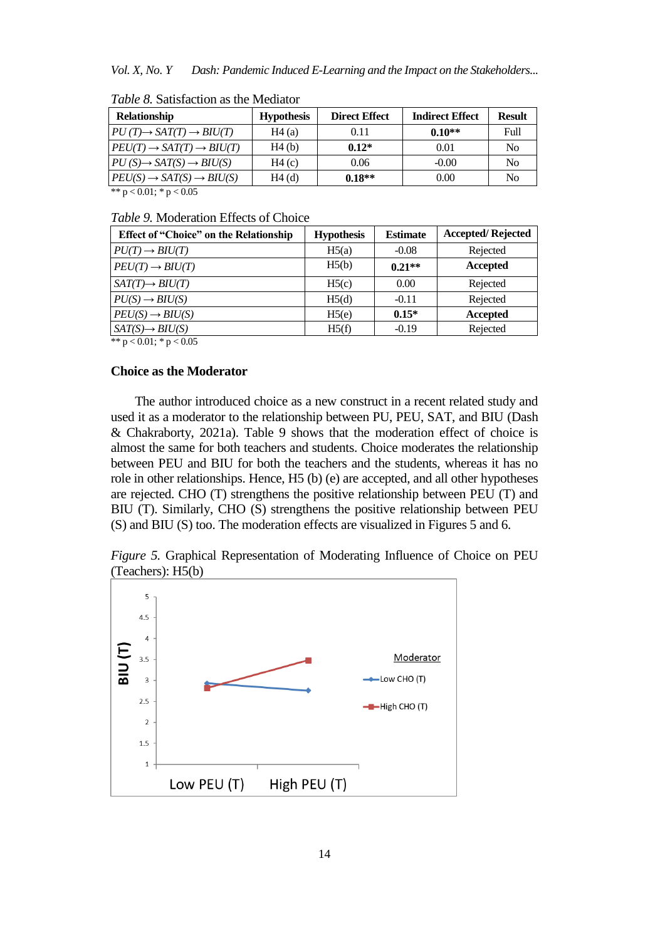*Vol. X, No. Y Dash: Pandemic Induced E-Learning and the Impact on the Stakeholders...* 

| <b>Relationship</b>                            | <b>Hypothesis</b> | <b>Direct Effect</b> | <b>Indirect Effect</b> | <b>Result</b>  |
|------------------------------------------------|-------------------|----------------------|------------------------|----------------|
| $PU(T) \rightarrow SAT(T) \rightarrow BIU(T)$  | H4(a)             | 0.11                 | $0.10**$               | Full           |
| $PEU(T) \rightarrow SAT(T) \rightarrow BIU(T)$ | H4(b)             | $0.12*$              | 0.01                   | N <sub>0</sub> |
| $PU(S) \rightarrow SAT(S) \rightarrow BIU(S)$  | H4(c)             | 0.06                 | $-0.00$                | N <sub>0</sub> |
| $PEU(S) \rightarrow SAT(S) \rightarrow BIU(S)$ | H4(d)             | $0.18**$             | 0.00                   | N <sub>0</sub> |

*Table 8.* Satisfaction as the Mediator

\*\*  $p < 0.01$ ; \*  $p < 0.05$ 

## *Table 9.* Moderation Effects of Choice

| <b>Effect of "Choice" on the Relationship</b> | <b>Hypothesis</b> | <b>Estimate</b> | <b>Accepted/Rejected</b> |
|-----------------------------------------------|-------------------|-----------------|--------------------------|
| $PU(T) \rightarrow BIU(T)$                    | H5(a)             | $-0.08$         | Rejected                 |
| $PEU(T) \rightarrow BIU(T)$                   | H5(b)             | $0.21**$        | Accepted                 |
| $SAT(T) \rightarrow BIU(T)$                   | H5(c)             | 0.00            | Rejected                 |
| $PU(S) \rightarrow BIU(S)$                    | H5(d)             | $-0.11$         | Rejected                 |
| $PEU(S) \rightarrow BIU(S)$                   | H5(e)             | $0.15*$         | Accepted                 |
| $SAT(S) \rightarrow BIU(S)$                   | H5(f)             | $-0.19$         | Rejected                 |

\*\*  $p < 0.01$ ; \*  $p < 0.05$ 

## **Choice as the Moderator**

The author introduced choice as a new construct in a recent related study and used it as a moderator to the relationship between PU, PEU, SAT, and BIU (Dash & Chakraborty, 2021a). Table 9 shows that the moderation effect of choice is almost the same for both teachers and students. Choice moderates the relationship between PEU and BIU for both the teachers and the students, whereas it has no role in other relationships. Hence, H5 (b) (e) are accepted, and all other hypotheses are rejected. CHO (T) strengthens the positive relationship between PEU (T) and BIU (T). Similarly, CHO (S) strengthens the positive relationship between PEU (S) and BIU (S) too. The moderation effects are visualized in Figures 5 and 6.

*Figure 5.* Graphical Representation of Moderating Influence of Choice on PEU (Teachers): H5(b)

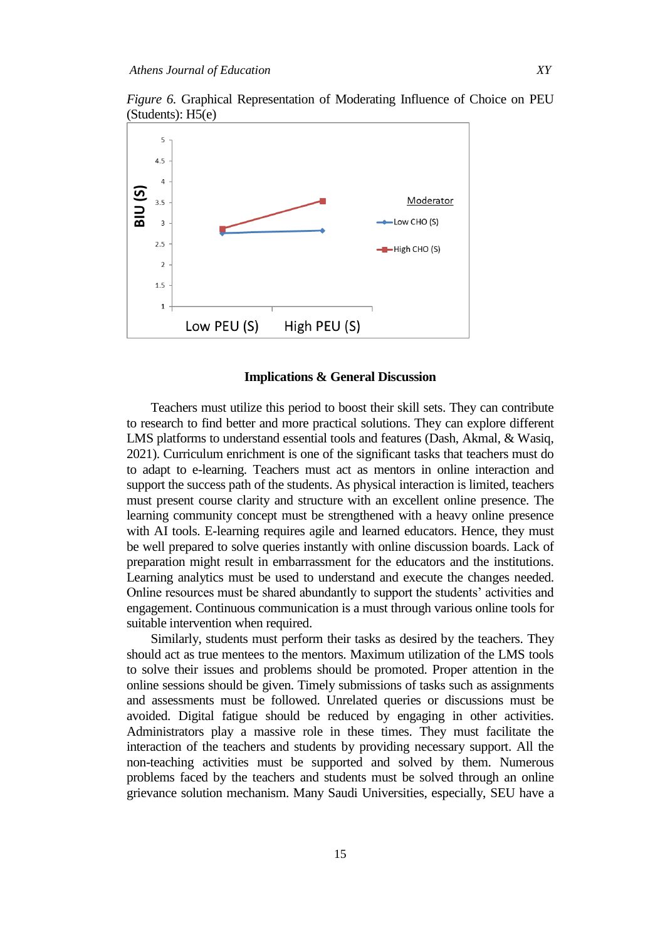*Figure 6.* Graphical Representation of Moderating Influence of Choice on PEU (Students): H5(e)



#### **Implications & General Discussion**

Teachers must utilize this period to boost their skill sets. They can contribute to research to find better and more practical solutions. They can explore different LMS platforms to understand essential tools and features (Dash, Akmal, & Wasiq, 2021). Curriculum enrichment is one of the significant tasks that teachers must do to adapt to e-learning. Teachers must act as mentors in online interaction and support the success path of the students. As physical interaction is limited, teachers must present course clarity and structure with an excellent online presence. The learning community concept must be strengthened with a heavy online presence with AI tools. E-learning requires agile and learned educators. Hence, they must be well prepared to solve queries instantly with online discussion boards. Lack of preparation might result in embarrassment for the educators and the institutions. Learning analytics must be used to understand and execute the changes needed. Online resources must be shared abundantly to support the students" activities and engagement. Continuous communication is a must through various online tools for suitable intervention when required.

Similarly, students must perform their tasks as desired by the teachers. They should act as true mentees to the mentors. Maximum utilization of the LMS tools to solve their issues and problems should be promoted. Proper attention in the online sessions should be given. Timely submissions of tasks such as assignments and assessments must be followed. Unrelated queries or discussions must be avoided. Digital fatigue should be reduced by engaging in other activities. Administrators play a massive role in these times. They must facilitate the interaction of the teachers and students by providing necessary support. All the non-teaching activities must be supported and solved by them. Numerous problems faced by the teachers and students must be solved through an online grievance solution mechanism. Many Saudi Universities, especially, SEU have a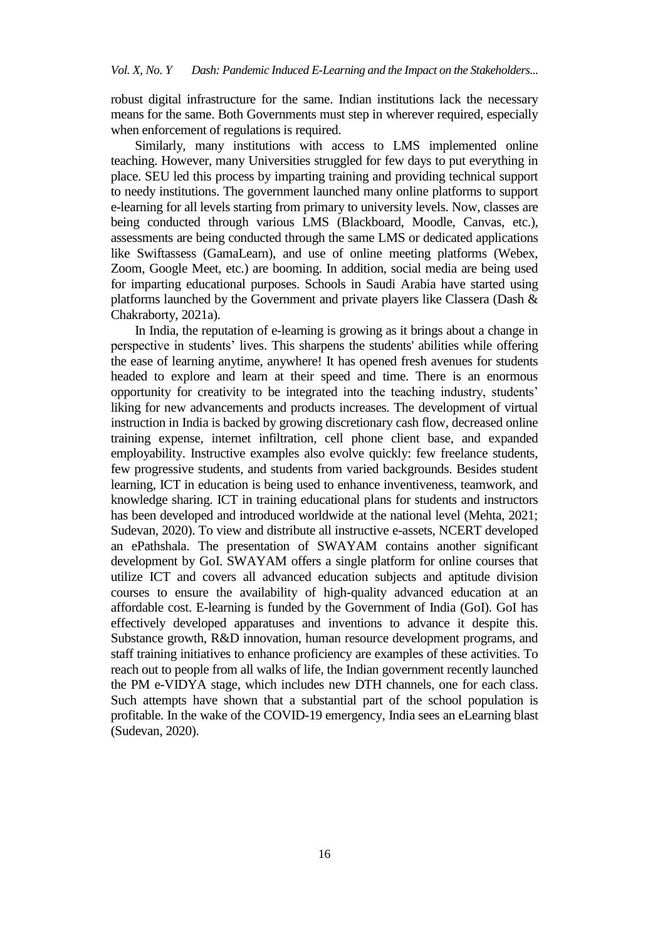robust digital infrastructure for the same. Indian institutions lack the necessary means for the same. Both Governments must step in wherever required, especially when enforcement of regulations is required.

Similarly, many institutions with access to LMS implemented online teaching. However, many Universities struggled for few days to put everything in place. SEU led this process by imparting training and providing technical support to needy institutions. The government launched many online platforms to support e-learning for all levels starting from primary to university levels. Now, classes are being conducted through various LMS (Blackboard, Moodle, Canvas, etc.), assessments are being conducted through the same LMS or dedicated applications like Swiftassess (GamaLearn), and use of online meeting platforms (Webex, Zoom, Google Meet, etc.) are booming. In addition, social media are being used for imparting educational purposes. Schools in Saudi Arabia have started using platforms launched by the Government and private players like Classera (Dash & Chakraborty, 2021a).

In India, the reputation of e-learning is growing as it brings about a change in perspective in students" lives. This sharpens the students' abilities while offering the ease of learning anytime, anywhere! It has opened fresh avenues for students headed to explore and learn at their speed and time. There is an enormous opportunity for creativity to be integrated into the teaching industry, students" liking for new advancements and products increases. The development of virtual instruction in India is backed by growing discretionary cash flow, decreased online training expense, internet infiltration, cell phone client base, and expanded employability. Instructive examples also evolve quickly: few freelance students, few progressive students, and students from varied backgrounds. Besides student learning, ICT in education is being used to enhance inventiveness, teamwork, and knowledge sharing. ICT in training educational plans for students and instructors has been developed and introduced worldwide at the national level (Mehta, 2021; Sudevan, 2020). To view and distribute all instructive e-assets, NCERT developed an ePathshala. The presentation of SWAYAM contains another significant development by GoI. SWAYAM offers a single platform for online courses that utilize ICT and covers all advanced education subjects and aptitude division courses to ensure the availability of high-quality advanced education at an affordable cost. E-learning is funded by the Government of India (GoI). GoI has effectively developed apparatuses and inventions to advance it despite this. Substance growth, R&D innovation, human resource development programs, and staff training initiatives to enhance proficiency are examples of these activities. To reach out to people from all walks of life, the Indian government recently launched the PM e-VIDYA stage, which includes new DTH channels, one for each class. Such attempts have shown that a substantial part of the school population is profitable. In the wake of the COVID-19 emergency, India sees an eLearning blast (Sudevan, 2020).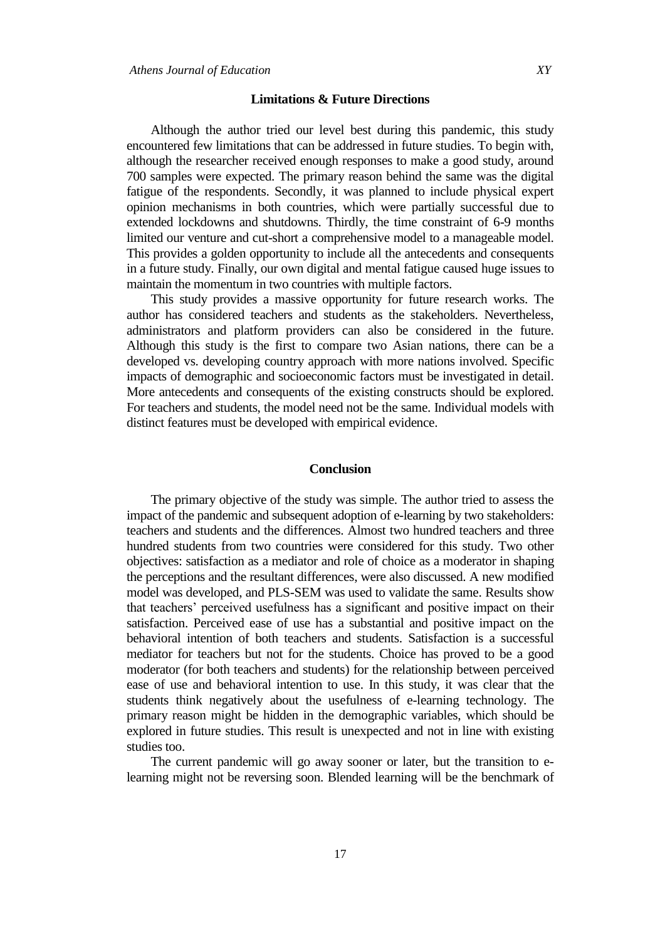### **Limitations & Future Directions**

Although the author tried our level best during this pandemic, this study encountered few limitations that can be addressed in future studies. To begin with, although the researcher received enough responses to make a good study, around 700 samples were expected. The primary reason behind the same was the digital fatigue of the respondents. Secondly, it was planned to include physical expert opinion mechanisms in both countries, which were partially successful due to extended lockdowns and shutdowns. Thirdly, the time constraint of 6-9 months limited our venture and cut-short a comprehensive model to a manageable model. This provides a golden opportunity to include all the antecedents and consequents in a future study. Finally, our own digital and mental fatigue caused huge issues to maintain the momentum in two countries with multiple factors.

This study provides a massive opportunity for future research works. The author has considered teachers and students as the stakeholders. Nevertheless, administrators and platform providers can also be considered in the future. Although this study is the first to compare two Asian nations, there can be a developed vs. developing country approach with more nations involved. Specific impacts of demographic and socioeconomic factors must be investigated in detail. More antecedents and consequents of the existing constructs should be explored. For teachers and students, the model need not be the same. Individual models with distinct features must be developed with empirical evidence.

#### **Conclusion**

The primary objective of the study was simple. The author tried to assess the impact of the pandemic and subsequent adoption of e-learning by two stakeholders: teachers and students and the differences. Almost two hundred teachers and three hundred students from two countries were considered for this study. Two other objectives: satisfaction as a mediator and role of choice as a moderator in shaping the perceptions and the resultant differences, were also discussed. A new modified model was developed, and PLS-SEM was used to validate the same. Results show that teachers" perceived usefulness has a significant and positive impact on their satisfaction. Perceived ease of use has a substantial and positive impact on the behavioral intention of both teachers and students. Satisfaction is a successful mediator for teachers but not for the students. Choice has proved to be a good moderator (for both teachers and students) for the relationship between perceived ease of use and behavioral intention to use. In this study, it was clear that the students think negatively about the usefulness of e-learning technology. The primary reason might be hidden in the demographic variables, which should be explored in future studies. This result is unexpected and not in line with existing studies too.

The current pandemic will go away sooner or later, but the transition to elearning might not be reversing soon. Blended learning will be the benchmark of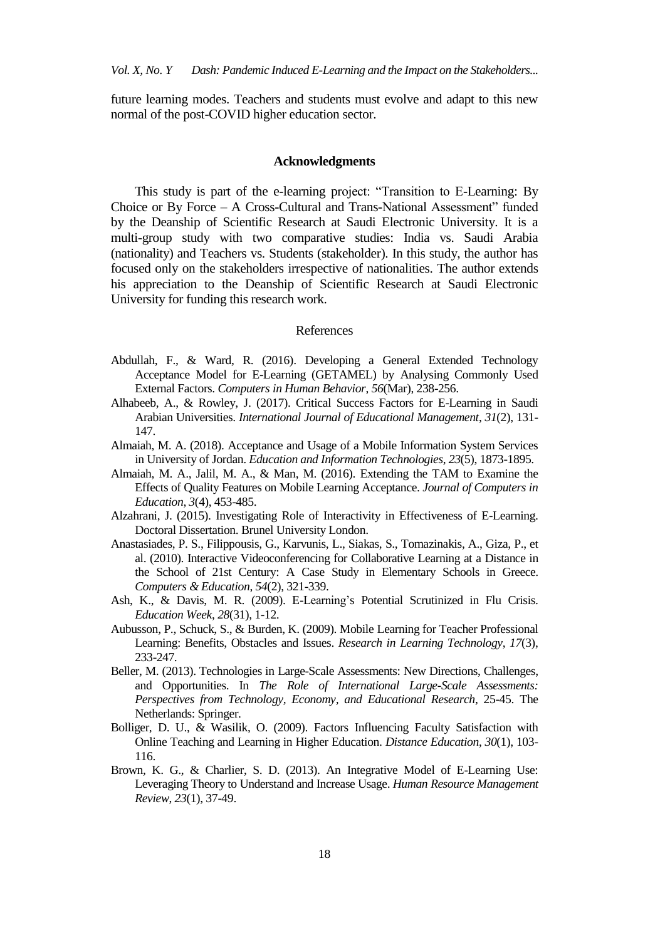future learning modes. Teachers and students must evolve and adapt to this new normal of the post-COVID higher education sector.

#### **Acknowledgments**

This study is part of the e-learning project: "Transition to E-Learning: By Choice or By Force – A Cross-Cultural and Trans-National Assessment" funded by the Deanship of Scientific Research at Saudi Electronic University. It is a multi-group study with two comparative studies: India vs. Saudi Arabia (nationality) and Teachers vs. Students (stakeholder). In this study, the author has focused only on the stakeholders irrespective of nationalities. The author extends his appreciation to the Deanship of Scientific Research at Saudi Electronic University for funding this research work.

### References

- Abdullah, F., & Ward, R. (2016). Developing a General Extended Technology Acceptance Model for E-Learning (GETAMEL) by Analysing Commonly Used External Factors. *Computers in Human Behavior*, *56*(Mar), 238-256.
- Alhabeeb, A., & Rowley, J. (2017). Critical Success Factors for E-Learning in Saudi Arabian Universities. *International Journal of Educational Management*, *31*(2), 131- 147.
- Almaiah, M. A. (2018). Acceptance and Usage of a Mobile Information System Services in University of Jordan. *Education and Information Technologies*, *23*(5), 1873-1895.
- Almaiah, M. A., Jalil, M. A., & Man, M. (2016). Extending the TAM to Examine the Effects of Quality Features on Mobile Learning Acceptance. *Journal of Computers in Education*, *3*(4), 453-485.
- Alzahrani, J. (2015). Investigating Role of Interactivity in Effectiveness of E-Learning. Doctoral Dissertation. Brunel University London.
- Anastasiades, P. S., Filippousis, G., Karvunis, L., Siakas, S., Tomazinakis, A., Giza, P., et al. (2010). Interactive Videoconferencing for Collaborative Learning at a Distance in the School of 21st Century: A Case Study in Elementary Schools in Greece. *Computers & Education*, *54*(2), 321-339.
- Ash, K., & Davis, M. R. (2009). E-Learning"s Potential Scrutinized in Flu Crisis. *Education Week*, *28*(31), 1-12.
- Aubusson, P., Schuck, S., & Burden, K. (2009). Mobile Learning for Teacher Professional Learning: Benefits, Obstacles and Issues. *Research in Learning Technology*, *17*(3), 233-247.
- Beller, M. (2013). Technologies in Large-Scale Assessments: New Directions, Challenges, and Opportunities. In *The Role of International Large-Scale Assessments: Perspectives from Technology, Economy, and Educational Research*, 25-45. The Netherlands: Springer.
- Bolliger, D. U., & Wasilik, O. (2009). Factors Influencing Faculty Satisfaction with Online Teaching and Learning in Higher Education. *Distance Education*, *30*(1), 103- 116.
- Brown, K. G., & Charlier, S. D. (2013). An Integrative Model of E-Learning Use: Leveraging Theory to Understand and Increase Usage. *Human Resource Management Review*, *23*(1), 37-49.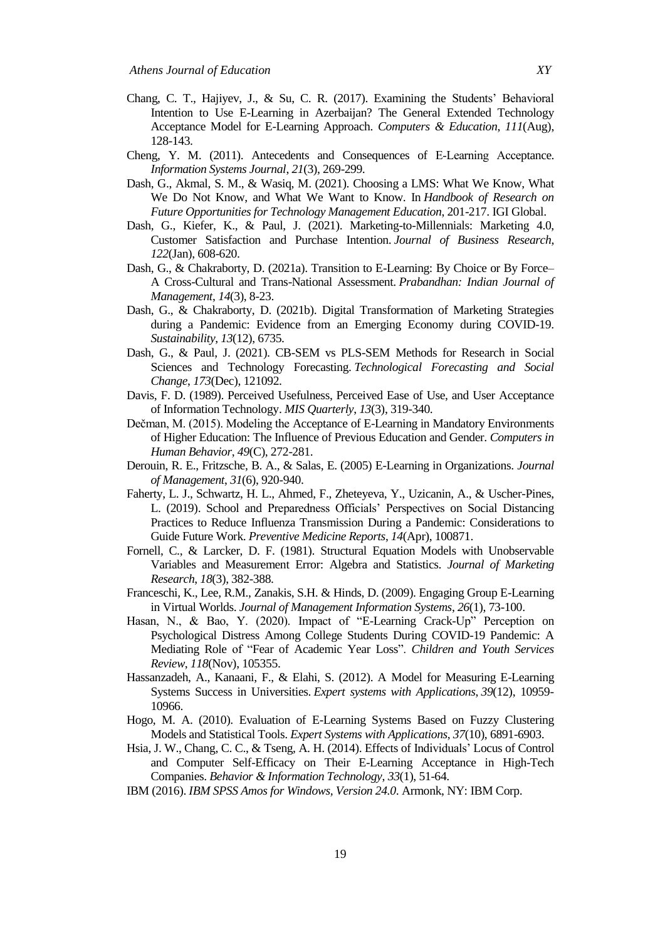- Chang, C. T., Hajiyev, J., & Su, C. R. (2017). Examining the Students" Behavioral Intention to Use E-Learning in Azerbaijan? The General Extended Technology Acceptance Model for E-Learning Approach. *Computers & Education*, *111*(Aug), 128-143.
- Cheng, Y. M. (2011). Antecedents and Consequences of E‐Learning Acceptance. *Information Systems Journal*, *21*(3), 269-299.
- Dash, G., Akmal, S. M., & Wasiq, M. (2021). Choosing a LMS: What We Know, What We Do Not Know, and What We Want to Know. In *Handbook of Research on Future Opportunities for Technology Management Education*, 201-217. IGI Global.
- Dash, G., Kiefer, K., & Paul, J. (2021). Marketing-to-Millennials: Marketing 4.0, Customer Satisfaction and Purchase Intention. *Journal of Business Research*, *122*(Jan), 608-620.
- Dash, G., & Chakraborty, D. (2021a). Transition to E-Learning: By Choice or By Force– A Cross-Cultural and Trans-National Assessment. *Prabandhan: Indian Journal of Management*, *14*(3), 8-23.
- Dash, G., & Chakraborty, D. (2021b). Digital Transformation of Marketing Strategies during a Pandemic: Evidence from an Emerging Economy during COVID-19. *Sustainability*, *13*(12), 6735.
- Dash, G., & Paul, J. (2021). CB-SEM vs PLS-SEM Methods for Research in Social Sciences and Technology Forecasting. *Technological Forecasting and Social Change*, *173*(Dec), 121092.
- Davis, F. D. (1989). Perceived Usefulness, Perceived Ease of Use, and User Acceptance of Information Technology. *MIS Quarterly*, *13*(3), 319-340.
- Dečman, M. (2015). Modeling the Acceptance of E-Learning in Mandatory Environments of Higher Education: The Influence of Previous Education and Gender. *Computers in Human Behavior*, *49*(C), 272-281.
- Derouin, R. E., Fritzsche, B. A., & Salas, E. (2005) E-Learning in Organizations. *Journal of Management*, *31*(6), 920-940.
- Faherty, L. J., Schwartz, H. L., Ahmed, F., Zheteyeva, Y., Uzicanin, A., & Uscher-Pines, L. (2019). School and Preparedness Officials" Perspectives on Social Distancing Practices to Reduce Influenza Transmission During a Pandemic: Considerations to Guide Future Work. *Preventive Medicine Reports*, *14*(Apr), 100871.
- Fornell, C., & Larcker, D. F. (1981). Structural Equation Models with Unobservable Variables and Measurement Error: Algebra and Statistics. *Journal of Marketing Research*, *18*(3), 382-388.
- Franceschi, K., Lee, R.M., Zanakis, S.H. & Hinds, D. (2009). Engaging Group E-Learning in Virtual Worlds. *Journal of Management Information Systems*, *26*(1), 73-100.
- Hasan, N., & Bao, Y. (2020). Impact of "E-Learning Crack-Up" Perception on Psychological Distress Among College Students During COVID-19 Pandemic: A Mediating Role of "Fear of Academic Year Loss". *Children and Youth Services Review*, *118*(Nov), 105355.
- Hassanzadeh, A., Kanaani, F., & Elahi, S. (2012). A Model for Measuring E-Learning Systems Success in Universities. *Expert systems with Applications*, *39*(12), 10959- 10966.
- Hogo, M. A. (2010). Evaluation of E-Learning Systems Based on Fuzzy Clustering Models and Statistical Tools. *Expert Systems with Applications*, *37*(10), 6891-6903.
- Hsia, J. W., Chang, C. C., & Tseng, A. H. (2014). Effects of Individuals" Locus of Control and Computer Self-Efficacy on Their E-Learning Acceptance in High-Tech Companies. *Behavior & Information Technology*, *33*(1), 51-64.
- IBM (2016). *IBM SPSS Amos for Windows, Version 24.0*. Armonk, NY: IBM Corp.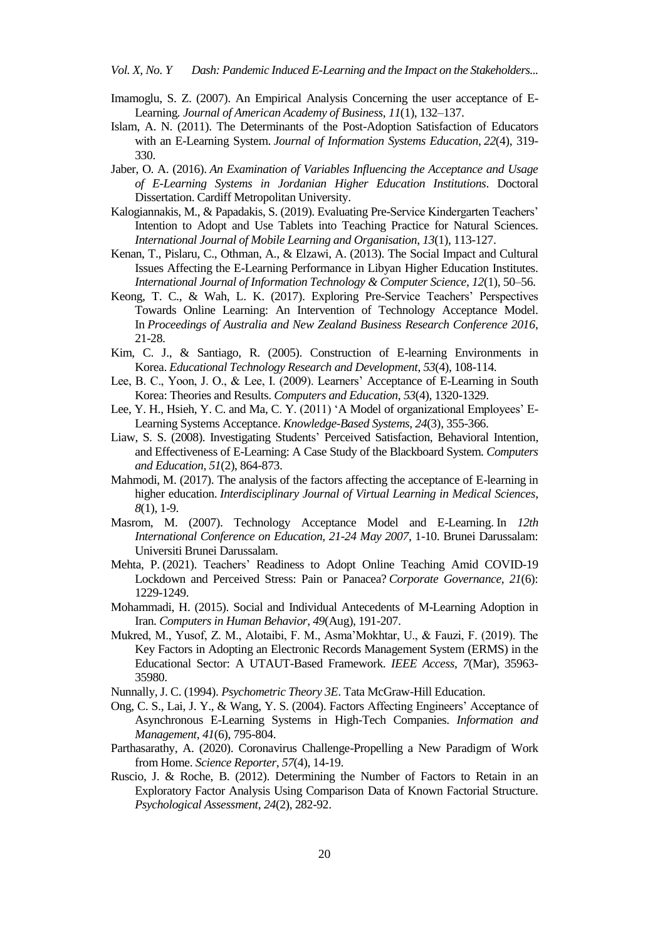*Vol. X, No. Y Dash: Pandemic Induced E-Learning and the Impact on the Stakeholders...* 

- Imamoglu, S. Z. (2007). An Empirical Analysis Concerning the user acceptance of E-Learning*. Journal of American Academy of Business*, *11*(1), 132–137.
- Islam, A. N. (2011). The Determinants of the Post-Adoption Satisfaction of Educators with an E-Learning System. *Journal of Information Systems Education*, *22*(4), 319- 330.
- Jaber, O. A. (2016). *An Examination of Variables Influencing the Acceptance and Usage of E-Learning Systems in Jordanian Higher Education Institutions*. Doctoral Dissertation. Cardiff Metropolitan University.
- Kalogiannakis, M., & Papadakis, S. (2019). Evaluating Pre-Service Kindergarten Teachers" Intention to Adopt and Use Tablets into Teaching Practice for Natural Sciences. *International Journal of Mobile Learning and Organisation*, *13*(1), 113-127.
- Kenan, T., Pislaru, C., Othman, A., & Elzawi, A. (2013). The Social Impact and Cultural Issues Affecting the E-Learning Performance in Libyan Higher Education Institutes. *International Journal of Information Technology & Computer Science*, *12*(1), 50–56.
- Keong, T. C., & Wah, L. K. (2017). Exploring Pre-Service Teachers' Perspectives Towards Online Learning: An Intervention of Technology Acceptance Model. In *Proceedings of Australia and New Zealand Business Research Conference 2016*, 21-28.
- Kim, C. J., & Santiago, R. (2005). Construction of E-learning Environments in Korea. *Educational Technology Research and Development*, *53*(4), 108-114.
- Lee, B. C., Yoon, J. O., & Lee, I. (2009). Learners" Acceptance of E-Learning in South Korea: Theories and Results. *Computers and Education*, *53*(4), 1320-1329.
- Lee, Y. H., Hsieh, Y. C. and Ma, C. Y. (2011) "A Model of organizational Employees" E-Learning Systems Acceptance. *Knowledge-Based Systems*, *24*(3), 355-366.
- Liaw, S. S. (2008). Investigating Students" Perceived Satisfaction, Behavioral Intention, and Effectiveness of E-Learning: A Case Study of the Blackboard System. *Computers and Education*, *51*(2), 864-873.
- Mahmodi, M. (2017). The analysis of the factors affecting the acceptance of E-learning in higher education. *Interdisciplinary Journal of Virtual Learning in Medical Sciences*, *8*(1), 1-9.
- Masrom, M. (2007). Technology Acceptance Model and E-Learning. In *12th International Conference on Education, 21-24 May 2007,* 1-10. Brunei Darussalam: Universiti Brunei Darussalam.
- Mehta, P. (2021). Teachers" Readiness to Adopt Online Teaching Amid COVID-19 Lockdown and Perceived Stress: Pain or Panacea? *[Corporate Governance](https://www.emerald.com/insight/publication/issn/1472-0701)*, *21*(6): 1229-1249.
- Mohammadi, H. (2015). Social and Individual Antecedents of M-Learning Adoption in Iran. *Computers in Human Behavior*, *49*(Aug), 191-207.
- Mukred, M., Yusof, Z. M., Alotaibi, F. M., Asma"Mokhtar, U., & Fauzi, F. (2019). The Key Factors in Adopting an Electronic Records Management System (ERMS) in the Educational Sector: A UTAUT-Based Framework. *IEEE Access*, *7*(Mar), 35963- 35980.
- Nunnally, J. C. (1994). *Psychometric Theory 3E*. Tata McGraw-Hill Education.
- Ong, C. S., Lai, J. Y., & Wang, Y. S. (2004). Factors Affecting Engineers' Acceptance of Asynchronous E-Learning Systems in High-Tech Companies. *Information and Management*, *41*(6), 795-804.
- Parthasarathy, A. (2020). Coronavirus Challenge-Propelling a New Paradigm of Work from Home. *Science Reporter*, *57*(4), 14-19.
- Ruscio, J. & Roche, B. (2012). Determining the Number of Factors to Retain in an Exploratory Factor Analysis Using Comparison Data of Known Factorial Structure. *Psychological Assessment*, *24*(2), 282-92.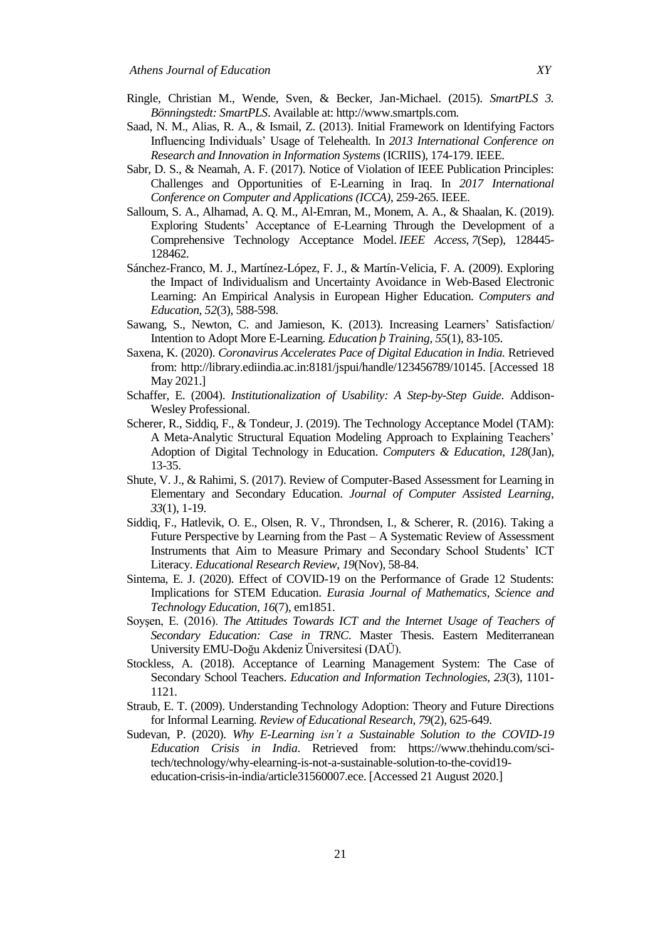- Ringle, Christian M., Wende, Sven, & Becker, Jan-Michael. (2015). *SmartPLS 3. Bönningstedt: SmartPLS*. Available at: [http://www.smartpls.com.](http://www.smartpls.com/)
- Saad, N. M., Alias, R. A., & Ismail, Z. (2013). Initial Framework on Identifying Factors Influencing Individuals" Usage of Telehealth. In *2013 International Conference on Research and Innovation in Information Systems* (ICRIIS), 174-179. IEEE.
- Sabr, D. S., & Neamah, A. F. (2017). Notice of Violation of IEEE Publication Principles: Challenges and Opportunities of E-Learning in Iraq. In *2017 International Conference on Computer and Applications (ICCA)*, 259-265. IEEE.
- Salloum, S. A., Alhamad, A. Q. M., Al-Emran, M., Monem, A. A., & Shaalan, K. (2019). Exploring Students" Acceptance of E-Learning Through the Development of a Comprehensive Technology Acceptance Model. *IEEE Access*, *7*(Sep), 128445- 128462.
- Sánchez-Franco, M. J., Martínez-López, F. J., & Martín-Velicia, F. A. (2009). Exploring the Impact of Individualism and Uncertainty Avoidance in Web-Based Electronic Learning: An Empirical Analysis in European Higher Education. *Computers and Education*, *52*(3), 588-598.
- Sawang, S., Newton, C. and Jamieson, K. (2013). Increasing Learners' Satisfaction/ Intention to Adopt More E-Learning. *Education þ Training*, *55*(1), 83-105.
- Saxena, K. (2020). *Coronavirus Accelerates Pace of Digital Education in India.* Retrieved from: [http://library.ediindia.ac.in:8181/jspui/handle/123456789/10145.](http://library.ediindia.ac.in:8181/jspui/handle/123456789/10145) [Accessed 18 May 2021.]
- Schaffer, E. (2004). *Institutionalization of Usability: A Step-by-Step Guide*. Addison-Wesley Professional.
- Scherer, R., Siddiq, F., & Tondeur, J. (2019). The Technology Acceptance Model (TAM): A Meta-Analytic Structural Equation Modeling Approach to Explaining Teachers" Adoption of Digital Technology in Education. *Computers & Education*, *128*(Jan), 13-35.
- Shute, V. J., & Rahimi, S. (2017). Review of Computer-Based Assessment for Learning in Elementary and Secondary Education. *Journal of Computer Assisted Learning*, *33*(1), 1-19.
- Siddiq, F., Hatlevik, O. E., Olsen, R. V., Throndsen, I., & Scherer, R. (2016). Taking a Future Perspective by Learning from the Past – A Systematic Review of Assessment Instruments that Aim to Measure Primary and Secondary School Students" ICT Literacy. *Educational Research Review*, *19*(Nov), 58-84.
- Sintema, E. J. (2020). Effect of COVID-19 on the Performance of Grade 12 Students: Implications for STEM Education. *Eurasia Journal of Mathematics, Science and Technology Education*, *16*(7), em1851.
- Soyşen, E. (2016). *The Attitudes Towards ICT and the Internet Usage of Teachers of Secondary Education: Case in TRNC*. Master Thesis. Eastern Mediterranean University EMU-Doğu Akdeniz Üniversitesi (DAÜ).
- Stockless, A. (2018). Acceptance of Learning Management System: The Case of Secondary School Teachers. *Education and Information Technologies*, *23*(3), 1101- 1121.
- Straub, E. T. (2009). Understanding Technology Adoption: Theory and Future Directions for Informal Learning. *Review of Educational Research*, *79*(2), 625-649.
- Sudevan, P. (2020). *Why E-Learning isn't a Sustainable Solution to the COVID-19 Education Crisis in India*. Retrieved from: [https://www.thehindu.com/sci](https://www.thehindu.com/sci-tech/technology/why-elearning-is-not-a-sustainable-solution-to-the-covid19-education-crisis-in-india/article31560007.ece)[tech/technology/why-elearning-is-not-a-sustainable-solution-to-the-covid19](https://www.thehindu.com/sci-tech/technology/why-elearning-is-not-a-sustainable-solution-to-the-covid19-education-crisis-in-india/article31560007.ece) [education-crisis-in-india/article31560007.ece.](https://www.thehindu.com/sci-tech/technology/why-elearning-is-not-a-sustainable-solution-to-the-covid19-education-crisis-in-india/article31560007.ece) [Accessed 21 August 2020.]